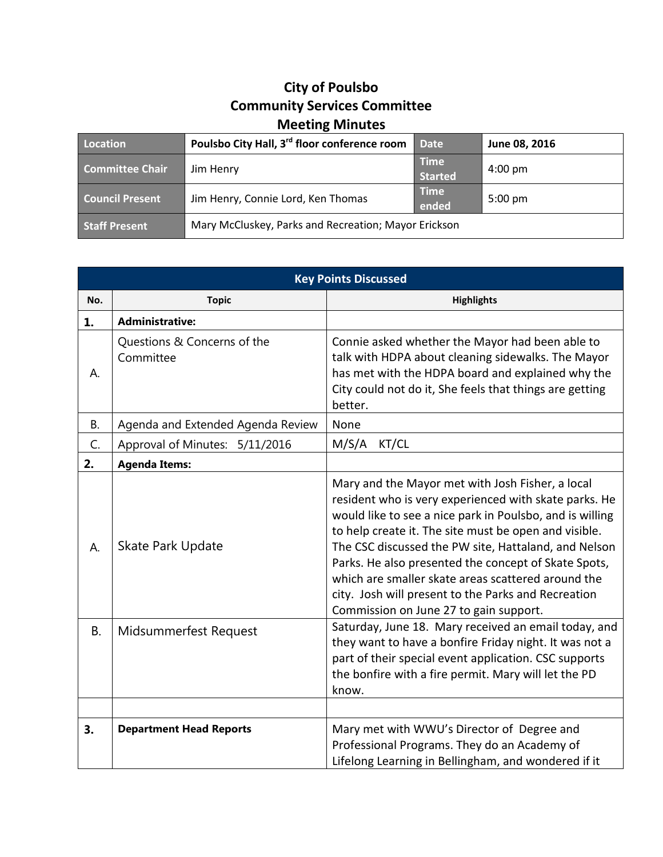## **City of Poulsbo Community Services Committee Meeting Minutes**

| Location               | Poulsbo City Hall, 3 <sup>rd</sup> floor conference room | <b>Date</b>                   | June 08, 2016     |
|------------------------|----------------------------------------------------------|-------------------------------|-------------------|
| <b>Committee Chair</b> | Jim Henry                                                | <b>Time</b><br><b>Started</b> | $4:00 \text{ pm}$ |
| <b>Council Present</b> | Jim Henry, Connie Lord, Ken Thomas                       | <b>Time</b><br>ended          | $5:00 \text{ pm}$ |
| <b>Staff Present</b>   | Mary McCluskey, Parks and Recreation; Mayor Erickson     |                               |                   |

| <b>Key Points Discussed</b> |                                          |                                                                                                                                                                                                                                                                                                                                                                                                                                                                                                       |  |
|-----------------------------|------------------------------------------|-------------------------------------------------------------------------------------------------------------------------------------------------------------------------------------------------------------------------------------------------------------------------------------------------------------------------------------------------------------------------------------------------------------------------------------------------------------------------------------------------------|--|
| No.                         | <b>Topic</b>                             | <b>Highlights</b>                                                                                                                                                                                                                                                                                                                                                                                                                                                                                     |  |
| 1.                          | <b>Administrative:</b>                   |                                                                                                                                                                                                                                                                                                                                                                                                                                                                                                       |  |
| А.                          | Questions & Concerns of the<br>Committee | Connie asked whether the Mayor had been able to<br>talk with HDPA about cleaning sidewalks. The Mayor<br>has met with the HDPA board and explained why the<br>City could not do it, She feels that things are getting<br>better.                                                                                                                                                                                                                                                                      |  |
| <b>B.</b>                   | Agenda and Extended Agenda Review        | None                                                                                                                                                                                                                                                                                                                                                                                                                                                                                                  |  |
| C.                          | Approval of Minutes: 5/11/2016           | M/S/A<br>KT/CL                                                                                                                                                                                                                                                                                                                                                                                                                                                                                        |  |
| 2.                          | <b>Agenda Items:</b>                     |                                                                                                                                                                                                                                                                                                                                                                                                                                                                                                       |  |
| А.                          | Skate Park Update                        | Mary and the Mayor met with Josh Fisher, a local<br>resident who is very experienced with skate parks. He<br>would like to see a nice park in Poulsbo, and is willing<br>to help create it. The site must be open and visible.<br>The CSC discussed the PW site, Hattaland, and Nelson<br>Parks. He also presented the concept of Skate Spots,<br>which are smaller skate areas scattered around the<br>city. Josh will present to the Parks and Recreation<br>Commission on June 27 to gain support. |  |
| В.                          | Midsummerfest Request                    | Saturday, June 18. Mary received an email today, and<br>they want to have a bonfire Friday night. It was not a<br>part of their special event application. CSC supports<br>the bonfire with a fire permit. Mary will let the PD<br>know.                                                                                                                                                                                                                                                              |  |
| 3.                          | <b>Department Head Reports</b>           | Mary met with WWU's Director of Degree and<br>Professional Programs. They do an Academy of<br>Lifelong Learning in Bellingham, and wondered if it                                                                                                                                                                                                                                                                                                                                                     |  |